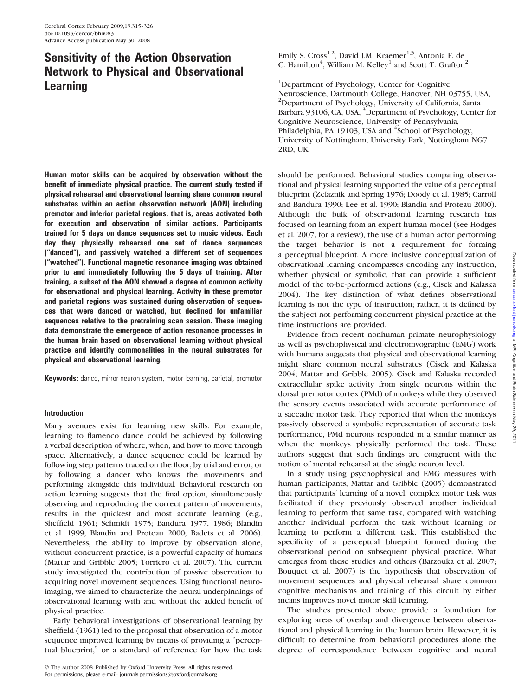# Sensitivity of the Action Observation Network to Physical and Observational Learning

Human motor skills can be acquired by observation without the benefit of immediate physical practice. The current study tested if physical rehearsal and observational learning share common neural substrates within an action observation network (AON) including premotor and inferior parietal regions, that is, areas activated both for execution and observation of similar actions. Participants trained for 5 days on dance sequences set to music videos. Each day they physically rehearsed one set of dance sequences (''danced''), and passively watched a different set of sequences (''watched''). Functional magnetic resonance imaging was obtained prior to and immediately following the 5 days of training. After training, a subset of the AON showed a degree of common activity for observational and physical learning. Activity in these premotor and parietal regions was sustained during observation of sequences that were danced or watched, but declined for unfamiliar sequences relative to the pretraining scan session. These imaging data demonstrate the emergence of action resonance processes in the human brain based on observational learning without physical practice and identify commonalities in the neural substrates for physical and observational learning.

Keywords: dance, mirror neuron system, motor learning, parietal, premotor

# Introduction

Many avenues exist for learning new skills. For example, learning to flamenco dance could be achieved by following a verbal description of where, when, and how to move through space. Alternatively, a dance sequence could be learned by following step patterns traced on the floor, by trial and error, or by following a dancer who knows the movements and performing alongside this individual. Behavioral research on action learning suggests that the final option, simultaneously observing and reproducing the correct pattern of movements, results in the quickest and most accurate learning (e.g., Sheffield 1961; Schmidt 1975; Bandura 1977, 1986; Blandin et al. 1999; Blandin and Proteau 2000; Badets et al. 2006). Nevertheless, the ability to improve by observation alone, without concurrent practice, is a powerful capacity of humans (Mattar and Gribble 2005; Torriero et al. 2007). The current study investigated the contribution of passive observation to acquiring novel movement sequences. Using functional neuroimaging, we aimed to characterize the neural underpinnings of observational learning with and without the added benefit of physical practice.

Early behavioral investigations of observational learning by Sheffield (1961) led to the proposal that observation of a motor sequence improved learning by means of providing a ''perceptual blueprint,'' or a standard of reference for how the task

Emily S.  $Cross<sup>1,2</sup>$ , David J.M. Kraemer<sup>1,3</sup>, Antonia F. de C. Hamilton<sup>4</sup>, William M. Kelley<sup>1</sup> and Scott T. Grafton<sup>2</sup>

<sup>1</sup>Department of Psychology, Center for Cognitive Neuroscience, Dartmouth College, Hanover, NH 03755, USA, 2 Department of Psychology, University of California, Santa Barbara 93106, CA, USA, <sup>3</sup>Department of Psychology, Center for Cognitive Neuroscience, University of Pennsylvania, Philadelphia, PA 19103, USA and <sup>4</sup>School of Psychology, University of Nottingham, University Park, Nottingham NG7 2RD, UK

should be performed. Behavioral studies comparing observational and physical learning supported the value of a perceptual blueprint (Zelaznik and Spring 1976; Doody et al. 1985; Carroll and Bandura 1990; Lee et al. 1990; Blandin and Proteau 2000). Although the bulk of observational learning research has focused on learning from an expert human model (see Hodges et al. 2007, for a review), the use of a human actor performing the target behavior is not a requirement for forming a perceptual blueprint. A more inclusive conceptualization of observational learning encompasses encoding any instruction, whether physical or symbolic, that can provide a sufficient model of the to-be-performed actions (e.g., Cisek and Kalaska 2004). The key distinction of what defines observational learning is not the type of instruction; rather, it is defined by the subject not performing concurrent physical practice at the time instructions are provided.

Evidence from recent nonhuman primate neurophysiology as well as psychophysical and electromyographic (EMG) work with humans suggests that physical and observational learning might share common neural substrates (Cisek and Kalaska 2004; Mattar and Gribble 2005). Cisek and Kalaska recorded extracellular spike activity from single neurons within the dorsal premotor cortex (PMd) of monkeys while they observed the sensory events associated with accurate performance of a saccadic motor task. They reported that when the monkeys passively observed a symbolic representation of accurate task performance, PMd neurons responded in a similar manner as when the monkeys physically performed the task. These authors suggest that such findings are congruent with the notion of mental rehearsal at the single neuron level.

In a study using psychophysical and EMG measures with human participants, Mattar and Gribble (2005) demonstrated that participants' learning of a novel, complex motor task was facilitated if they previously observed another individual learning to perform that same task, compared with watching another individual perform the task without learning or learning to perform a different task. This established the specificity of a perceptual blueprint formed during the observational period on subsequent physical practice. What emerges from these studies and others (Barzouka et al. 2007; Bouquet et al. 2007) is the hypothesis that observation of movement sequences and physical rehearsal share common cognitive mechanisms and training of this circuit by either means improves novel motor skill learning.

The studies presented above provide a foundation for exploring areas of overlap and divergence between observational and physical learning in the human brain. However, it is difficult to determine from behavioral procedures alone the degree of correspondence between cognitive and neural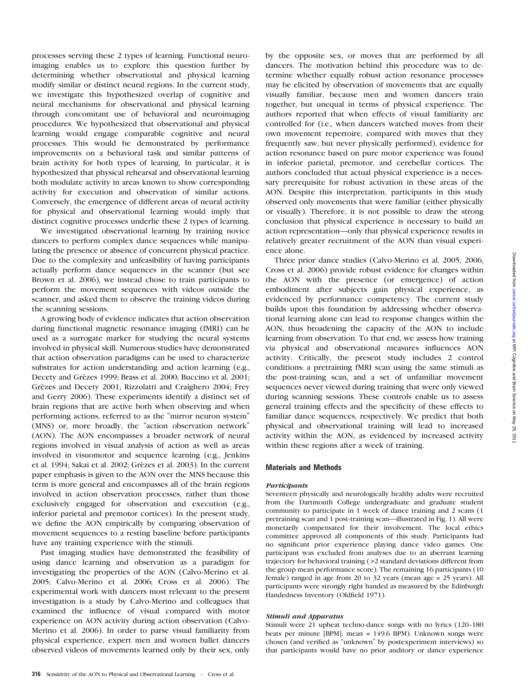processes serving these 2 types of learning. Functional neuroimaging enables us to explore this question further by determining whether observational and physical learning modify similar or distinct neural regions. In the current study, we investigate this hypothesized overlap of cognitive and neural mechanisms for observational and physical learning through concomitant use of behavioral and neuroimaging procedures. We hypothesized that observational and physical learning would engage comparable cognitive and neural processes. This would be demonstrated by performance improvements on a behavioral task and similar patterns of brain activity for both types of learning. In particular, it is hypothesized that physical rehearsal and observational learning both modulate activity in areas known to show corresponding activity for execution and observation of similar actions. Conversely, the emergence of different areas of neural activity for physical and observational learning would imply that distinct cognitive processes underlie these 2 types of learning.

We investigated observational learning by training novice dancers to perform complex dance sequences while manipulating the presence or absence of concurrent physical practice. Due to the complexity and unfeasibility of having participants actually perform dance sequences in the scanner (but see Brown et al. 2006), we instead chose to train participants to perform the movement sequences with videos outside the scanner, and asked them to observe the training videos during the scanning sessions.

A growing body of evidence indicates that action observation during functional magnetic resonance imaging (fMRI) can be used as a surrogate marker for studying the neural systems involved in physical skill. Numerous studies have demonstrated that action observation paradigms can be used to characterize substrates for action understanding and action learning (e.g., Decety and Grèzes 1999; Brass et al. 2000; Buccino et al. 2001; Grèzes and Decety 2001; Rizzolatti and Craighero 2004; Frey and Gerry 2006). These experiments identify a distinct set of brain regions that are active both when observing and when performing actions, referred to as the ''mirror neuron system'' (MNS) or, more broadly, the ''action observation network'' (AON). The AON encompasses a broader network of neural regions involved in visual analysis of action as well as areas involved in visuomotor and sequence learning (e.g., Jenkins et al. 1994; Sakai et al. 2002; Grèzes et al. 2003). In the current paper emphasis is given to the AON over the MNS because this term is more general and encompasses all of the brain regions involved in action observation processes, rather than those exclusively engaged for observation and execution (e.g., inferior parietal and premotor cortices). In the present study, we define the AON empirically by comparing observation of movement sequences to a resting baseline before participants have any training experience with the stimuli.

Past imaging studies have demonstrated the feasibility of using dance learning and observation as a paradigm for investigating the properties of the AON (Calvo-Merino et al. 2005; Calvo-Merino et al. 2006; Cross et al. 2006). The experimental work with dancers most relevant to the present investigation is a study by Calvo-Merino and colleagues that examined the influence of visual compared with motor experience on AON activity during action observation (Calvo-Merino et al. 2006). In order to parse visual familiarity from physical experience, expert men and women ballet dancers observed videos of movements learned only by their sex, only

by the opposite sex, or moves that are performed by all dancers. The motivation behind this procedure was to determine whether equally robust action resonance processes may be elicited by observation of movements that are equally visually familiar, because men and women dancers train together, but unequal in terms of physical experience. The authors reported that when effects of visual familiarity are controlled for (i.e., when dancers watched moves from their own movement repertoire, compared with moves that they frequently saw, but never physically performed), evidence for action resonance based on pure motor experience was found in inferior parietal, premotor, and cerebellar cortices. The authors concluded that actual physical experience is a necessary prerequisite for robust activation in these areas of the AON. Despite this interpretation, participants in this study observed only movements that were familiar (either physically or visually). Therefore, it is not possible to draw the strong conclusion that physical experience is necessary to build an action representation—only that physical experience results in relatively greater recruitment of the AON than visual experience alone.

Three prior dance studies (Calvo-Merino et al. 2005, 2006, Cross et al. 2006) provide robust evidence for changes within the AON with the presence (or emergence) of action embodiment after subjects gain physical experience, as evidenced by performance competency. The current study builds upon this foundation by addressing whether observational learning alone can lead to response changes within the AON, thus broadening the capacity of the AON to include learning from observation. To that end, we assess how training via physical and observational measures influences AON activity. Critically, the present study includes 2 control conditions: a pretraining fMRI scan using the same stimuli as the post-training scan, and a set of unfamiliar movement sequences never viewed during training that were only viewed during scanning sessions. These controls enable us to assess general training effects and the specificity of these effects to familiar dance sequences, respectively. We predict that both physical and observational training will lead to increased activity within the AON, as evidenced by increased activity within these regions after a week of training.

## Materials and Methods

## Participants

Seventeen physically and neurologically healthy adults were recruited from the Dartmouth College undergraduate and graduate student community to participate in 1 week of dance training and 2 scans (1 pretraining scan and 1 post-training scan—illustrated in Fig. 1). All were monetarily compensated for their involvement. The local ethics committee approved all components of this study. Participants had no significant prior experience playing dance video games. One participant was excluded from analyses due to an aberrant learning trajectory for behavioral training ( >2 standard deviations different from the group mean performance score). The remaining 16 participants (10 female) ranged in age from 20 to 32 years (mean age = 25 years). All participants were strongly right handed as measured by the Edinburgh Handedness Inventory (Oldfield 1971).

## Stimuli and Apparatus

Stimuli were 21 upbeat techno-dance songs with no lyrics (120-180 beats per minute [BPM]; mean = 149.6 BPM). Unknown songs were chosen (and verified as ''unknown'' by postexperiment interviews) so that participants would have no prior auditory or dance experience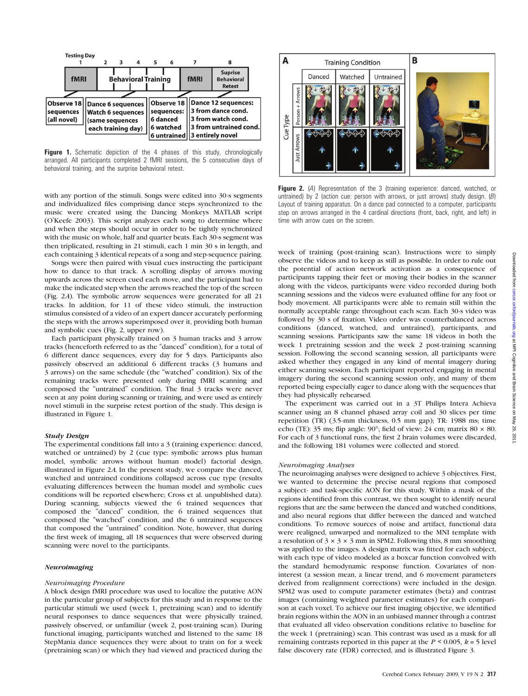

Figure 1. Schematic depiction of the 4 phases of this study, chronologically arranged. All participants completed 2 fMRI sessions, the 5 consecutive days of behavioral training, and the surprise behavioral retest.

with any portion of the stimuli. Songs were edited into 30-s segments and individualized files comprising dance steps synchronized to the music were created using the Dancing Monkeys MATLAB script (O'Keefe 2003). This script analyzes each song to determine where and when the steps should occur in order to be tightly synchronized with the music on whole, half and quarter beats. Each 30-s segment was then triplicated, resulting in 21 stimuli, each 1 min 30 s in length, and each containing 3 identical repeats of a song and step-sequence pairing.

Songs were then paired with visual cues instructing the participant how to dance to that track. A scrolling display of arrows moving upwards across the screen cued each move, and the participant had to make the indicated step when the arrows reached the top of the screen (Fig. 2A). The symbolic arrow sequences were generated for all 21 tracks. In addition, for 11 of these video stimuli, the instruction stimulus consisted of a video of an expert dancer accurately performing the steps with the arrows superimposed over it, providing both human and symbolic cues (Fig. 2, upper row).

Each participant physically trained on 3 human tracks and 3 arrow tracks (henceforth referred to as the "danced" condition), for a total of 6 different dance sequences, every day for 5 days. Participants also passively observed an additional 6 different tracks (3 humans and 3 arrows) on the same schedule (the ''watched'' condition). Six of the remaining tracks were presented only during fMRI scanning and composed the ''untrained'' condition. The final 3 tracks were never seen at any point during scanning or training, and were used as entirely novel stimuli in the surprise retest portion of the study. This design is illustrated in Figure 1.

#### Study Design

The experimental conditions fall into a 3 (training experience: danced, watched or untrained) by 2 (cue type: symbolic arrows plus human model, symbolic arrows without human model) factorial design, illustrated in Figure 2A. In the present study, we compare the danced, watched and untrained conditions collapsed across cue type (results evaluating differences between the human model and symbolic cues conditions will be reported elsewhere; Cross et al. unpublished data). During scanning, subjects viewed the 6 trained sequences that composed the ''danced'' condition, the 6 trained sequences that composed the ''watched'' condition, and the 6 untrained sequences that composed the ''untrained'' condition. Note, however, that during the first week of imaging, all 18 sequences that were observed during scanning were novel to the participants.

#### Neuroimaging

#### Neuroimaging Procedure

A block design fMRI procedure was used to localize the putative AON in the particular group of subjects for this study and in response to the particular stimuli we used (week 1, pretraining scan) and to identify neural responses to dance sequences that were physically trained, passively observed, or unfamiliar (week 2, post-training scan). During functional imaging, participants watched and listened to the same 18 StepMania dance sequences they were about to train on for a week (pretraining scan) or which they had viewed and practiced during the



Figure 2. (4) Representation of the 3 (training experience: danced, watched, or untrained) by 2 (action cue: person with arrows, or just arrows) study design.  $(B)$ Layout of training apparatus. On a dance pad connected to a computer, participants step on arrows arranged in the 4 cardinal directions (front, back, right, and left) in time with arrow cues on the screen.

week of training (post-training scan). Instructions were to simply observe the videos and to keep as still as possible. In order to rule out the potential of action network activation as a consequence of participants tapping their feet or moving their bodies in the scanner along with the videos, participants were video recorded during both scanning sessions and the videos were evaluated offline for any foot or body movement. All participants were able to remain still within the normally acceptable range throughout each scan. Each 30-s video was followed by 30 s of fixation. Video order was counterbalanced across conditions (danced, watched, and untrained), participants, and scanning sessions. Participants saw the same 18 videos in both the week 1 pretraining session and the week 2 post-training scanning session. Following the second scanning session, all participants were asked whether they engaged in any kind of mental imagery during either scanning session. Each participant reported engaging in mental imagery during the second scanning session only, and many of them reported being especially eager to dance along with the sequences that they had physically rehearsed.

The experiment was carried out in a 3T Philips Intera Achieva scanner using an 8 channel phased array coil and 30 slices per time repetition (TR) (3.5-mm thickness, 0.5 mm gap); TR: 1988 ms; time echo (TE): 35 ms; flip angle:  $90^\circ$ ; field of view: 24 cm; matrix 80  $\times$  80. For each of 3 functional runs, the first 2 brain volumes were discarded, and the following 181 volumes were collected and stored.

#### Neuroimaging Analyses

The neuroimaging analyses were designed to achieve 3 objectives. First, we wanted to determine the precise neural regions that composed a subject- and task-specific AON for this study. Within a mask of the regions identified from this contrast, we then sought to identify neural regions that are the same between the danced and watched conditions, and also neural regions that differ between the danced and watched conditions. To remove sources of noise and artifact, functional data were realigned, unwarped and normalized to the MNI template with a resolution of  $3 \times 3 \times 3$  mm in SPM2. Following this, 8 mm smoothing was applied to the images. A design matrix was fitted for each subject, with each type of video modeled as a boxcar function convolved with the standard hemodynamic response function. Covariates of noninterest (a session mean, a linear trend, and 6 movement parameters derived from realignment corrections) were included in the design. SPM2 was used to compute parameter estimates (beta) and contrast images (containing weighted parameter estimates) for each comparison at each voxel. To achieve our first imaging objective, we identified brain regions within the AON in an unbiased manner through a contrast that evaluated all video observation conditions relative to baseline for the week 1 (pretraining) scan. This contrast was used as a mask for all remaining contrasts reported in this paper at the  $P < 0.005$ ,  $k = 5$  level false discovery rate (FDR) corrected, and is illustrated Figure 3.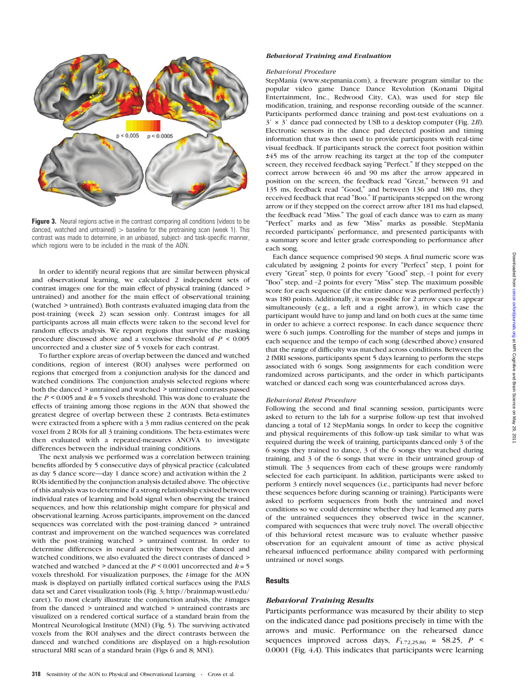

Figure 3. Neural regions active in the contrast comparing all conditions (videos to be danced, watched and untrained)  $>$  baseline for the pretraining scan (week 1). This contrast was made to determine, in an unbiased, subject- and task-specific manner, which regions were to be included in the mask of the AON.

In order to identify neural regions that are similar between physical and observational learning, we calculated 2 independent sets of contrast images: one for the main effect of physical training (danced > untrained) and another for the main effect of observational training (watched > untrained). Both contrasts evaluated imaging data from the post-training (week 2) scan session only. Contrast images for all participants across all main effects were taken to the second level for random effects analysis. We report regions that survive the masking procedure discussed above and a voxelwise threshold of  $P \leq 0.005$ uncorrected and a cluster size of 5 voxels for each contrast.

To further explore areas of overlap between the danced and watched conditions, region of interest (ROI) analyses were performed on regions that emerged from a conjunction analysis for the danced and watched conditions. The conjunction analysis selected regions where both the danced > untrained and watched > untrained contrasts passed the  $P \le 0.005$  and  $k = 5$  voxels threshold. This was done to evaluate the effects of training among those regions in the AON that showed the greatest degree of overlap between these 2 contrasts. Beta-estimates were extracted from a sphere with a 3 mm radius centered on the peak voxel from 2 ROIs for all 3 training conditions. The beta-estimates were then evaluated with a repeated-measures ANOVA to investigate differences between the individual training conditions.

The next analysis we performed was a correlation between training benefits afforded by 5 consecutive days of physical practice (calculated as day 5 dance score—day 1 dance score) and activation within the 2 ROIs identified by the conjunction analysis detailed above. The objective of this analysis was to determine if a strong relationship existed between individual rates of learning and bold signal when observing the trained sequences, and how this relationship might compare for physical and observational learning. Across participants, improvement on the danced sequences was correlated with the post-training danced > untrained contrast and improvement on the watched sequences was correlated with the post-training watched > untrained contrast. In order to determine differences in neural activity between the danced and watched conditions, we also evaluated the direct contrasts of danced > watched and watched  $>$  danced at the  $P \le 0.001$  uncorrected and  $k = 5$ voxels threshold. For visualization purposes, the  $t$ -image for the AON mask is displayed on partially inflated cortical surfaces using the PALS data set and Caret visualization tools (Fig. 3; [http://brainmap.wustl.edu/](http://brainmap.wustl.edu/caret) [caret](http://brainmap.wustl.edu/caret)). To most clearly illustrate the conjunction analysis, the  $t$ -images from the danced > untrained and watched > untrained contrasts are visualized on a rendered cortical surface of a standard brain from the Montreal Neurological Institute (MNI) (Fig. 5). The surviving activated voxels from the ROI analyses and the direct contrasts between the danced and watched conditions are displayed on a high-resolution structural MRI scan of a standard brain (Figs 6 and 8; MNI).

#### Behavioral Training and Evaluation

#### Behavioral Procedure

StepMania ([www.stepmania.com\)](www.stepmania.com), a freeware program similar to the popular video game Dance Dance Revolution (Konami Digital Entertainment, Inc., Redwood City, CA), was used for step file modification, training, and response recording outside of the scanner. Participants performed dance training and post-test evaluations on a  $3' \times 3'$  dance pad connected by USB to a desktop computer (Fig. 2B). Electronic sensors in the dance pad detected position and timing information that was then used to provide participants with real-time visual feedback. If participants struck the correct foot position within ±45 ms of the arrow reaching its target at the top of the computer screen, they received feedback saying ''Perfect.'' If they stepped on the correct arrow between 46 and 90 ms after the arrow appeared in position on the screen, the feedback read ''Great,'' between 91 and 135 ms, feedback read ''Good,'' and between 136 and 180 ms, they received feedback that read ''Boo.'' If participants stepped on the wrong arrow or if they stepped on the correct arrow after 181 ms had elapsed, the feedback read "Miss." The goal of each dance was to earn as many ''Perfect'' marks and as few ''Miss'' marks as possible. StepMania recorded participants' performance, and presented participants with a summary score and letter grade corresponding to performance after each song.

Each dance sequence comprised 90 steps. A final numeric score was calculated by assigning 2 points for every ''Perfect'' step, 1 point for every ''Great'' step, 0 points for every ''Good'' step, –1 point for every ''Boo'' step, and –2 points for every ''Miss'' step. The maximum possible score for each sequence (if the entire dance was performed perfectly) was 180 points. Additionally, it was possible for 2 arrow cues to appear simultaneously (e.g., a left and a right arrow), in which case the participant would have to jump and land on both cues at the same time in order to achieve a correct response. In each dance sequence there were 6 such jumps. Controlling for the number of steps and jumps in each sequence and the tempo of each song (described above) ensured that the range of difficulty was matched across conditions. Between the 2 fMRI sessions, participants spent 5 days learning to perform the steps associated with 6 songs. Song assignments for each condition were randomized across participants, and the order in which participants watched or danced each song was counterbalanced across days.

## Behavioral Retest Procedure

Following the second and final scanning session, participants were asked to return to the lab for a surprise follow-up test that involved dancing a total of 12 StepMania songs. In order to keep the cognitive and physical requirements of this follow-up task similar to what was required during the week of training, participants danced only 3 of the 6 songs they trained to dance, 3 of the 6 songs they watched during training, and 3 of the 6 songs that were in their untrained group of stimuli. The 3 sequences from each of these groups were randomly selected for each participant. In addition, participants were asked to perform 3 entirely novel sequences (i.e., participants had never before these sequences before during scanning or training). Participants were asked to perform sequences from both the untrained and novel conditions so we could determine whether they had learned any parts of the untrained sequences they observed twice in the scanner, compared with sequences that were truly novel. The overall objective of this behavioral retest measure was to evaluate whether passive observation for an equivalent amount of time as active physical rehearsal influenced performance ability compared with performing untrained or novel songs.

## **Results**

## Behavioral Training Results

Participants performance was measured by their ability to step on the indicated dance pad positions precisely in time with the arrows and music. Performance on the rehearsed dance sequences improved across days,  $F_{1.72,25,86} = 58.25$ ,  $P \leq$ 0.0001 (Fig. 4A). This indicates that participants were learning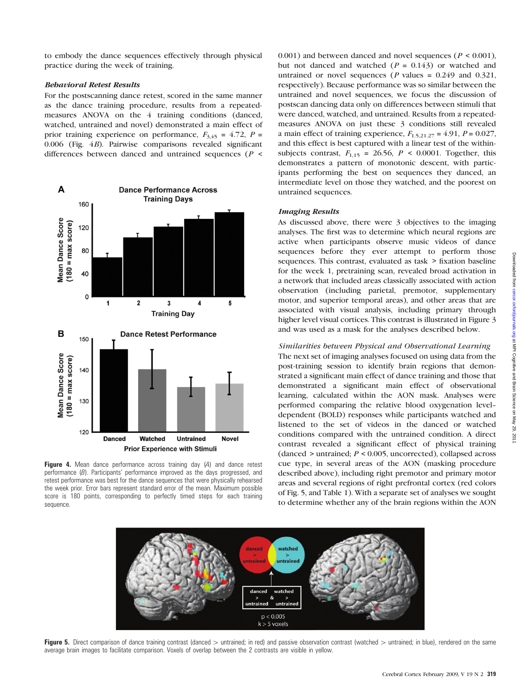to embody the dance sequences effectively through physical practice during the week of training.

## Behavioral Retest Results

For the postscanning dance retest, scored in the same manner as the dance training procedure, results from a repeatedmeasures ANOVA on the 4 training conditions (danced, watched, untrained and novel) demonstrated a main effect of prior training experience on performance,  $F_{3,45} = 4.72$ ,  $P =$ 0.006 (Fig. 4B). Pairwise comparisons revealed significant differences between danced and untrained sequences (P <



Figure 4. Mean dance performance across training day (A) and dance retest performance (B). Participants' performance improved as the days progressed, and retest performance was best for the dance sequences that were physically rehearsed the week prior. Error bars represent standard error of the mean. Maximum possible score is 180 points, corresponding to perfectly timed steps for each training sequence.

0.001) and between danced and novel sequences ( $P < 0.001$ ), but not danced and watched  $(P = 0.143)$  or watched and untrained or novel sequences ( $P$  values = 0.249 and 0.321, respectively). Because performance was so similar between the untrained and novel sequences, we focus the discussion of postscan dancing data only on differences between stimuli that were danced, watched, and untrained. Results from a repeatedmeasures ANOVA on just these 3 conditions still revealed a main effect of training experience,  $F_{1,5,21,27} = 4.91$ ,  $P = 0.027$ , and this effect is best captured with a linear test of the withinsubjects contrast,  $F_{1,15} = 26.56$ ,  $P < 0.0001$ . Together, this demonstrates a pattern of monotonic descent, with participants performing the best on sequences they danced, an intermediate level on those they watched, and the poorest on untrained sequences.

## Imaging Results

As discussed above, there were 3 objectives to the imaging analyses. The first was to determine which neural regions are active when participants observe music videos of dance sequences before they ever attempt to perform those sequences. This contrast, evaluated as task > fixation baseline for the week 1, pretraining scan, revealed broad activation in a network that included areas classically associated with action observation (including parietal, premotor, supplementary motor, and superior temporal areas), and other areas that are associated with visual analysis, including primary through higher level visual cortices. This contrast is illustrated in Figure 3 and was used as a mask for the analyses described below.

# Similarities between Physical and Observational Learning

The next set of imaging analyses focused on using data from the post-training session to identify brain regions that demonstrated a significant main effect of dance training and those that demonstrated a significant main effect of observational learning, calculated within the AON mask. Analyses were performed comparing the relative blood oxygenation level- dependent (BOLD) responses while participants watched and listened to the set of videos in the danced or watched conditions compared with the untrained condition. A direct contrast revealed a significant effect of physical training (danced  $>$  untrained;  $P < 0.005$ , uncorrected), collapsed across cue type, in several areas of the AON (masking procedure described above), including right premotor and primary motor areas and several regions of right prefrontal cortex (red colors of Fig. 5, and Table 1). With a separate set of analyses we sought to determine whether any of the brain regions within the AON



Figure 5. Direct comparison of dance training contrast (danced > untrained; in red) and passive observation contrast (watched > untrained; in blue), rendered on the same average brain images to facilitate comparison. Voxels of overlap between the 2 contrasts are visible in yellow.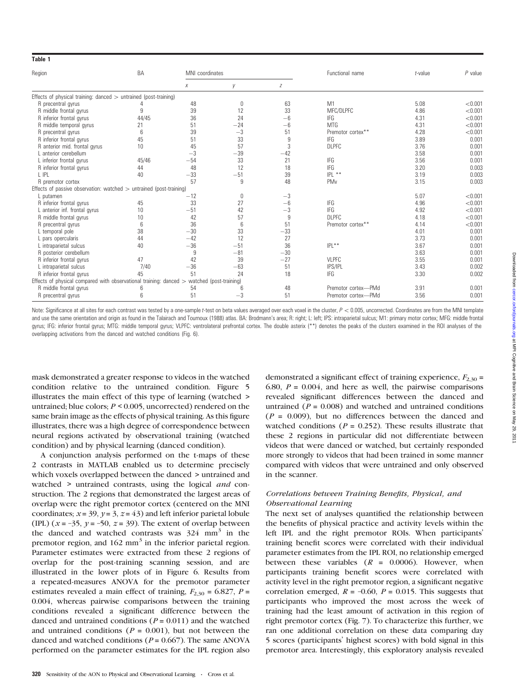| Table 1                                                                                      |       |                 |       |       |                     |            |           |
|----------------------------------------------------------------------------------------------|-------|-----------------|-------|-------|---------------------|------------|-----------|
| Region                                                                                       | BA    | MNI coordinates |       |       | Functional name     | $t$ -value | $P$ value |
|                                                                                              |       | X               | V     | Z     |                     |            |           |
| Effects of physical training: danced $>$ untrained (post-training)                           |       |                 |       |       |                     |            |           |
| R precentral gyrus                                                                           |       | 48              | 0     | 63    | M1                  | 5.08       | < 0.001   |
| R middle frontal gyrus                                                                       | 9     | 39              | 12    | 33    | MFC/DLPFC           | 4.86       | < 0.001   |
| R inferior frontal gyrus                                                                     | 44/45 | 36              | 24    | $-6$  | IFG                 | 4.31       | < 0.001   |
| R middle temporal gyrus                                                                      | 21    | 51              | $-24$ | $-6$  | <b>MTG</b>          | 4.31       | < 0.001   |
| R precentral gyrus                                                                           | 6     | 39              | $-3$  | 51    | Premotor cortex**   | 4.28       | < 0.001   |
| R inferior frontal gyrus                                                                     | 45    | 51              | 33    | 9     | <b>IFG</b>          | 3.89       | 0.001     |
| R anterior mid. frontal gyrus                                                                | 10    | 45              | 57    | 3     | <b>DLPFC</b>        | 3.76       | 0.001     |
| L anterior cerebellum                                                                        |       | $-3$            | $-39$ | $-42$ |                     | 3.58       | 0.001     |
| L inferior frontal gyrus                                                                     | 45/46 | $-54$           | 33    | 21    | <b>IFG</b>          | 3.56       | 0.001     |
| R inferior frontal gyrus                                                                     | 44    | 48              | 12    | 18    | <b>IFG</b>          | 3.20       | 0.003     |
| L IPL                                                                                        | 40    | $-33$           | $-51$ | 39    | $IPL$ **            | 3.19       | 0.003     |
| R premotor cortex                                                                            |       | 57              | 9     | 48    | PM <sub>v</sub>     | 3.15       | 0.003     |
| Effects of passive observation: watched $>$ untrained (post-training)                        |       |                 |       |       |                     |            |           |
| L putamen                                                                                    |       | $-12$           | 0     | $-3$  |                     | 5.07       | < 0.001   |
| R inferior frontal gyrus                                                                     | 45    | 33              | 27    | $-6$  | IFG                 | 4.96       | < 0.001   |
| L anterior inf. frontal gyrus                                                                | 10    | $-51$           | 42    | $-3$  | <b>IFG</b>          | 4.92       | < 0.001   |
| R middle frontal gyrus                                                                       | 10    | 42              | 57    | 9     | <b>DLPFC</b>        | 4.18       | < 0.001   |
| R precentral gyrus                                                                           | 6     | 36              | 6     | 51    | Premotor cortex**   | 4.14       | < 0.001   |
| L temporal pole                                                                              | 38    | $-30$           | 33    | $-33$ |                     | 4.01       | 0.001     |
| L pars opercularis                                                                           | 44    | $-42$           | 12    | 27    |                     | 3.73       | 0.001     |
| L intraparietal sulcus                                                                       | 40    | $-36$           | $-51$ | 36    | $IPL**$             | 3.67       | 0.001     |
| R posterior cerebellum                                                                       |       | 9               | $-81$ | $-30$ |                     | 3.63       | 0.001     |
| R inferior frontal gyrus                                                                     | 47    | 42              | 39    | $-27$ | <b>VLPFC</b>        | 3.55       | 0.001     |
| L intraparietal sulcus                                                                       | 7/40  | $-36$           | $-63$ | 51    | IPS/IPL             | 3.43       | 0.002     |
| R inferior frontal gyrus                                                                     | 45    | 51              | 24    | 18    | IFG                 | 3.30       | 0.002     |
| Effects of physical compared with observational training: danced $>$ watched (post-training) |       |                 |       |       |                     |            |           |
| R middle frontal gyrus                                                                       | 6     | 54              | 6     | 48    | Premotor cortex-PMd | 3.91       | 0.001     |
| R precentral gyrus                                                                           | 6     | 51              | $-3$  | 51    | Premotor cortex-PMd | 3.56       | 0.001     |

Note: Significance at all sites for each contrast was tested by a one-sample t-test on beta values averaged over each voxel in the cluster,  $P < 0.005$ , uncorrected. Coordinates are from the MNI template and use the same orientation and origin as found in the Talairach and Tournoux (1988) atlas. BA: Brodmann's area; R: right; L: left; IPS: intraparietal sulcus; M1: primary motor cortex; MFG: middle frontal gyrus; IFG: inferior frontal gyrus; MTG: middle temporal gyrus; VLPFC: ventrolateral prefrontal cortex. The double asterix (\*\*) denotes the peaks of the clusters examined in the ROI analyses of the overlapping activations from the danced and watched conditions (Fig. 6).

mask demonstrated a greater response to videos in the watched condition relative to the untrained condition. Figure 5 illustrates the main effect of this type of learning (watched > untrained; blue colors;  $P < 0.005$ , uncorrected) rendered on the same brain image as the effects of physical training. As this figure illustrates, there was a high degree of correspondence between neural regions activated by observational training (watched condition) and by physical learning (danced condition).

A conjunction analysis performed on the t-maps of these 2 contrasts in MATLAB enabled us to determine precisely which voxels overlapped between the danced > untrained and watched > untrained contrasts, using the logical *and* construction. The 2 regions that demonstrated the largest areas of overlap were the right premotor cortex (centered on the MNI coordinates;  $x = 39$ ,  $y = 3$ ,  $z = 43$ ) and left inferior parietal lobule (IPL)  $(x = -35, y = -50, z = 39)$ . The extent of overlap between the danced and watched contrasts was  $324 \text{ mm}^3$  in the premotor region, and  $162 \text{ mm}^3$  in the inferior parietal region. Parameter estimates were extracted from these 2 regions of overlap for the post-training scanning session, and are illustrated in the lower plots of in Figure 6. Results from a repeated-measures ANOVA for the premotor parameter estimates revealed a main effect of training,  $F_{2,30} = 6.827$ ,  $P =$ 0.004, whereas pairwise comparisons between the training conditions revealed a significant difference between the danced and untrained conditions ( $P = 0.011$ ) and the watched and untrained conditions ( $P = 0.001$ ), but not between the danced and watched conditions ( $P = 0.667$ ). The same ANOVA performed on the parameter estimates for the IPL region also

demonstrated a significant effect of training experience,  $F_{2,30}$  = 6.80,  $P = 0.004$ , and here as well, the pairwise comparisons revealed significant differences between the danced and untrained ( $P = 0.008$ ) and watched and untrained conditions  $(P = 0.009)$ , but no differences between the danced and watched conditions ( $P = 0.252$ ). These results illustrate that these 2 regions in particular did not differentiate between videos that were danced or watched, but certainly responded more strongly to videos that had been trained in some manner compared with videos that were untrained and only observed in the scanner.

# Correlations between Training Benefits, Physical, and Observational Learning

The next set of analyses quantified the relationship between the benefits of physical practice and activity levels within the left IPL and the right premotor ROIs. When participants' training benefit scores were correlated with their individual parameter estimates from the IPL ROI, no relationship emerged between these variables  $(R = 0.0006)$ . However, when participants training benefit scores were correlated with activity level in the right premotor region, a significant negative correlation emerged,  $R = -0.60$ ,  $P = 0.015$ . This suggests that participants who improved the most across the week of training had the least amount of activation in this region of right premotor cortex (Fig. 7). To characterize this further, we ran one additional correlation on these data comparing day 5 scores (participants' highest scores) with bold signal in this premotor area. Interestingly, this exploratory analysis revealed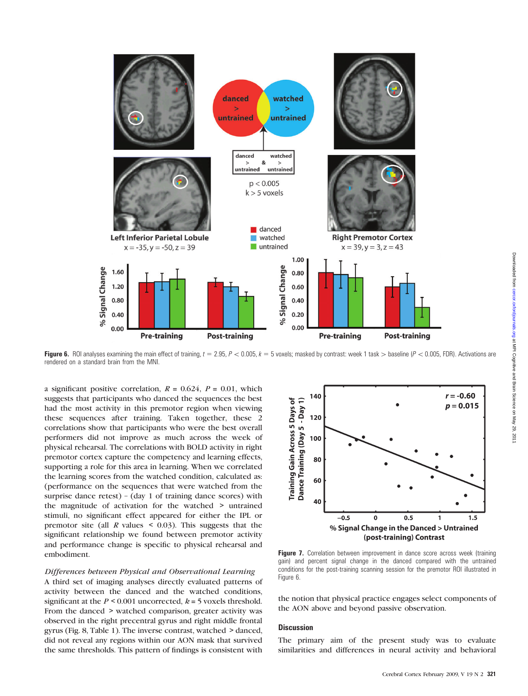

Figure 6. ROI analyses examining the main effect of training,  $t = 2.95$ ,  $P \lt 0.005$ ,  $k = 5$  voxels; masked by contrast: week 1 task  $>$  baseline (P  $< 0.005$ , FDR). Activations are rendered on a standard brain from the MNI.

a significant positive correlation,  $R = 0.624$ ,  $P = 0.01$ , which suggests that participants who danced the sequences the best had the most activity in this premotor region when viewing these sequences after training. Taken together, these 2 correlations show that participants who were the best overall performers did not improve as much across the week of physical rehearsal. The correlations with BOLD activity in right premotor cortex capture the competency and learning effects, supporting a role for this area in learning. When we correlated the learning scores from the watched condition, calculated as: (performance on the sequences that were watched from the surprise dance retest) – (day 1 of training dance scores) with the magnitude of activation for the watched > untrained stimuli, no significant effect appeared for either the IPL or premotor site (all  $R$  values  $\leq$  0.03). This suggests that the significant relationship we found between premotor activity and performance change is specific to physical rehearsal and embodiment.

# Differences between Physical and Observational Learning

A third set of imaging analyses directly evaluated patterns of activity between the danced and the watched conditions, significant at the  $P \le 0.001$  uncorrected,  $k = 5$  voxels threshold. From the danced > watched comparison, greater activity was observed in the right precentral gyrus and right middle frontal gyrus (Fig. 8, Table 1). The inverse contrast, watched > danced, did not reveal any regions within our AON mask that survived the same thresholds. This pattern of findings is consistent with



Figure 7. Correlation between improvement in dance score across week (training gain) and percent signal change in the danced compared with the untrained conditions for the post-training scanning session for the premotor ROI illustrated in Figure 6.

the notion that physical practice engages select components of the AON above and beyond passive observation.

# **Discussion**

The primary aim of the present study was to evaluate similarities and differences in neural activity and behavioral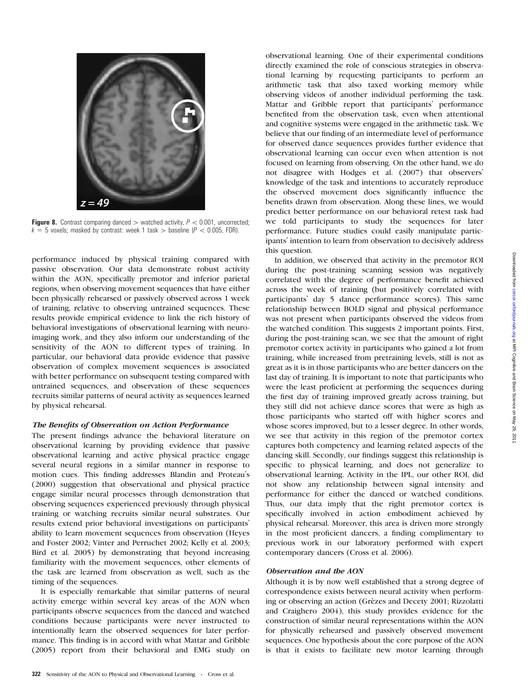

**Figure 8.** Contrast comparing danced  $>$  watched activity,  $P < 0.001$ , uncorrected;  $k = 5$  voxels; masked by contrast: week 1 task  $>$  baseline (P  $<$  0.005, FDR).

performance induced by physical training compared with passive observation. Our data demonstrate robust activity within the AON, specifically premotor and inferior parietal regions, when observing movement sequences that have either been physically rehearsed or passively observed across 1 week of training, relative to observing untrained sequences. These results provide empirical evidence to link the rich history of behavioral investigations of observational learning with neuroimaging work, and they also inform our understanding of the sensitivity of the AON to different types of training. In particular, our behavioral data provide evidence that passive observation of complex movement sequences is associated with better performance on subsequent testing compared with untrained sequences, and observation of these sequences recruits similar patterns of neural activity as sequences learned by physical rehearsal.

# The Benefits of Observation on Action Performance

The present findings advance the behavioral literature on observational learning by providing evidence that passive observational learning and active physical practice engage several neural regions in a similar manner in response to motion cues. This finding addresses Blandin and Proteau's (2000) suggestion that observational and physical practice engage similar neural processes through demonstration that observing sequences experienced previously through physical training or watching recruits similar neural substrates. Our results extend prior behavioral investigations on participants' ability to learn movement sequences from observation (Heyes and Foster 2002; Vinter and Perruchet 2002; Kelly et al. 2003; Bird et al. 2005) by demonstrating that beyond increasing familiarity with the movement sequences, other elements of the task are learned from observation as well, such as the timing of the sequences.

It is especially remarkable that similar patterns of neural activity emerge within several key areas of the AON when participants observe sequences from the danced and watched conditions because participants were never instructed to intentionally learn the observed sequences for later performance. This finding is in accord with what Mattar and Gribble (2005) report from their behavioral and EMG study on observational learning. One of their experimental conditions directly examined the role of conscious strategies in observational learning by requesting participants to perform an arithmetic task that also taxed working memory while observing videos of another individual performing the task. Mattar and Gribble report that participants' performance benefited from the observation task, even when attentional and cognitive systems were engaged in the arithmetic task. We believe that our finding of an intermediate level of performance for observed dance sequences provides further evidence that observational learning can occur even when attention is not focused on learning from observing. On the other hand, we do not disagree with Hodges et al. (2007) that observers' knowledge of the task and intentions to accurately reproduce the observed movement does significantly influence the benefits drawn from observation. Along these lines, we would predict better performance on our behavioral retest task had we told participants to study the sequences for later performance. Future studies could easily manipulate participants' intention to learn from observation to decisively address this question.

In addition, we observed that activity in the premotor ROI during the post-training scanning session was negatively correlated with the degree of performance benefit achieved across the week of training (but positively correlated with participants' day 5 dance performance scores). This same relationship between BOLD signal and physical performance was not present when participants observed the videos from the watched condition. This suggests 2 important points. First, during the post-training scan, we see that the amount of right premotor cortex activity in participants who gained a lot from training, while increased from pretraining levels, still is not as great as it is in those participants who are better dancers on the last day of training. It is important to note that participants who were the least proficient at performing the sequences during the first day of training improved greatly across training, but they still did not achieve dance scores that were as high as those participants who started off with higher scores and whose scores improved, but to a lesser degree. In other words, we see that activity in this region of the premotor cortex captures both competency and learning related aspects of the dancing skill. Secondly, our findings suggest this relationship is specific to physical learning, and does not generalize to observational learning. Activity in the IPL, our other ROI, did not show any relationship between signal intensity and performance for either the danced or watched conditions. Thus, our data imply that the right premotor cortex is specifically involved in action embodiment achieved by physical rehearsal. Moreover, this area is driven more strongly in the most proficient dancers, a finding complimentary to previous work in our laboratory performed with expert contemporary dancers (Cross et al. 2006).

## Observation and the AON

Although it is by now well established that a strong degree of correspondence exists between neural activity when performing or observing an action (Grèzes and Decety 2001; Rizzolatti and Craighero 2004), this study provides evidence for the construction of similar neural representations within the AON for physically rehearsed and passively observed movement sequences. One hypothesis about the core purpose of the AON is that it exists to facilitate new motor learning through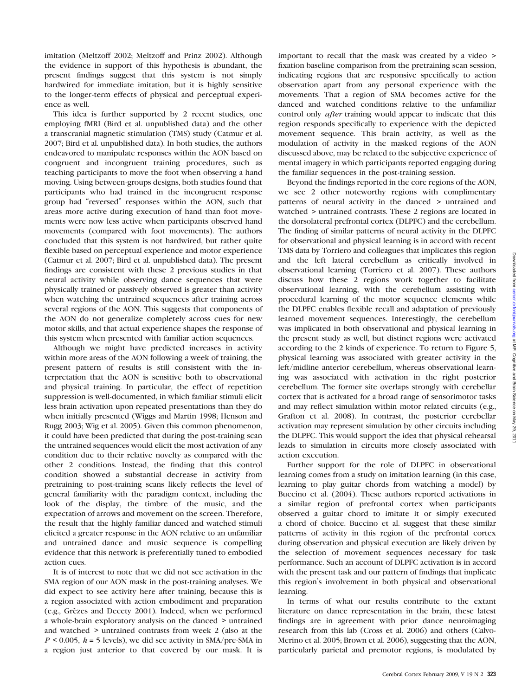imitation (Meltzoff 2002; Meltzoff and Prinz 2002). Although the evidence in support of this hypothesis is abundant, the present findings suggest that this system is not simply hardwired for immediate imitation, but it is highly sensitive to the longer-term effects of physical and perceptual experience as well.

This idea is further supported by 2 recent studies, one employing fMRI (Bird et al. unpublished data) and the other a transcranial magnetic stimulation (TMS) study (Catmur et al. 2007; Bird et al. unpublished data). In both studies, the authors endeavored to manipulate responses within the AON based on congruent and incongruent training procedures, such as teaching participants to move the foot when observing a hand moving. Using between-groups designs, both studies found that participants who had trained in the incongruent response group had ''reversed'' responses within the AON, such that areas more active during execution of hand than foot movements were now less active when participants observed hand movements (compared with foot movements). The authors concluded that this system is not hardwired, but rather quite flexible based on perceptual experience and motor experience (Catmur et al. 2007; Bird et al. unpublished data). The present findings are consistent with these 2 previous studies in that neural activity while observing dance sequences that were physically trained or passively observed is greater than activity when watching the untrained sequences after training across several regions of the AON. This suggests that components of the AON do not generalize completely across cues for new motor skills, and that actual experience shapes the response of this system when presented with familiar action sequences.

Although we might have predicted increases in activity within more areas of the AON following a week of training, the present pattern of results is still consistent with the interpretation that the AON is sensitive both to observational and physical training. In particular, the effect of repetition suppression is well-documented, in which familiar stimuli elicit less brain activation upon repeated presentations than they do when initially presented (Wiggs and Martin 1998; Henson and Rugg 2003; Wig et al. 2005). Given this common phenomenon, it could have been predicted that during the post-training scan the untrained sequences would elicit the most activation of any condition due to their relative novelty as compared with the other 2 conditions. Instead, the finding that this control condition showed a substantial decrease in activity from pretraining to post-training scans likely reflects the level of general familiarity with the paradigm context, including the look of the display, the timbre of the music, and the expectation of arrows and movement on the screen. Therefore, the result that the highly familiar danced and watched stimuli elicited a greater response in the AON relative to an unfamiliar and untrained dance and music sequence is compelling evidence that this network is preferentially tuned to embodied action cues.

It is of interest to note that we did not see activation in the SMA region of our AON mask in the post-training analyses. We did expect to see activity here after training, because this is a region associated with action embodiment and preparation (e.g., Grèzes and Decety 2001). Indeed, when we performed a whole-brain exploratory analysis on the danced > untrained and watched > untrained contrasts from week 2 (also at the  $P \le 0.005$ ,  $k = 5$  levels), we did see activity in SMA/pre-SMA in a region just anterior to that covered by our mask. It is

important to recall that the mask was created by a video > fixation baseline comparison from the pretraining scan session, indicating regions that are responsive specifically to action observation apart from any personal experience with the movements. That a region of SMA becomes active for the danced and watched conditions relative to the unfamiliar control only *after* training would appear to indicate that this region responds specifically to experience with the depicted movement sequence. This brain activity, as well as the modulation of activity in the masked regions of the AON discussed above, may be related to the subjective experience of mental imagery in which participants reported engaging during the familiar sequences in the post-training session.

Beyond the findings reported in the core regions of the AON, we see 2 other noteworthy regions with complimentary patterns of neural activity in the danced > untrained and watched > untrained contrasts. These 2 regions are located in the dorsolateral prefrontal cortex (DLPFC) and the cerebellum. The finding of similar patterns of neural activity in the DLPFC for observational and physical learning is in accord with recent TMS data by Torriero and colleagues that implicates this region and the left lateral cerebellum as critically involved in observational learning (Torriero et al. 2007). These authors discuss how these 2 regions work together to facilitate observational learning, with the cerebellum assisting with procedural learning of the motor sequence elements while the DLPFC enables flexible recall and adaptation of previously learned movement sequences. Interestingly, the cerebellum was implicated in both observational and physical learning in the present study as well, but distinct regions were activated according to the 2 kinds of experience. To return to Figure 5, physical learning was associated with greater activity in the left/midline anterior cerebellum, whereas observational learning was associated with activation in the right posterior cerebellum. The former site overlaps strongly with cerebellar cortex that is activated for a broad range of sensorimotor tasks and may reflect simulation within motor related circuits (e.g., Grafton et al. 2008). In contrast, the posterior cerebellar activation may represent simulation by other circuits including the DLPFC. This would support the idea that physical rehearsal leads to simulation in circuits more closely associated with action execution.

Further support for the role of DLPFC in observational learning comes from a study on imitation learning (in this case, learning to play guitar chords from watching a model) by Buccino et al. (2004). These authors reported activations in a similar region of prefrontal cortex when participants observed a guitar chord to imitate it or simply executed a chord of choice. Buccino et al. suggest that these similar patterns of activity in this region of the prefrontal cortex during observation and physical execution are likely driven by the selection of movement sequences necessary for task performance. Such an account of DLPFC activation is in accord with the present task and our pattern of findings that implicate this region's involvement in both physical and observational learning.

In terms of what our results contribute to the extant literature on dance representation in the brain, these latest findings are in agreement with prior dance neuroimaging research from this lab (Cross et al. 2006) and others (Calvo-Merino et al. 2005; Brown et al. 2006), suggesting that the AON, particularly parietal and premotor regions, is modulated by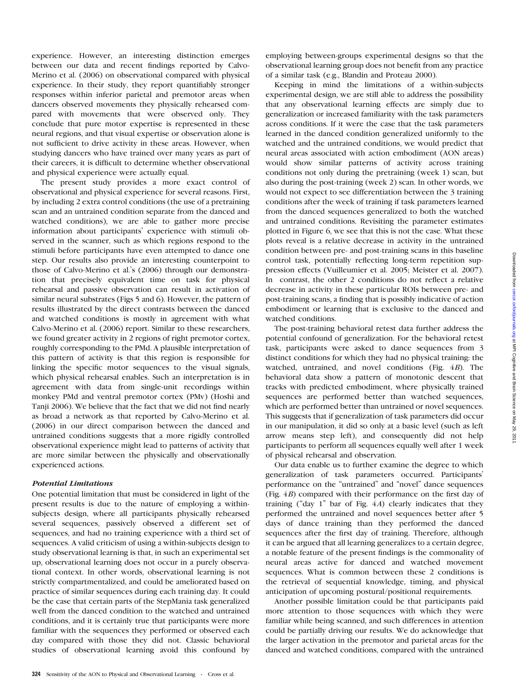experience. However, an interesting distinction emerges between our data and recent findings reported by Calvo-Merino et al. (2006) on observational compared with physical experience. In their study, they report quantifiably stronger responses within inferior parietal and premotor areas when dancers observed movements they physically rehearsed compared with movements that were observed only. They conclude that pure motor expertise is represented in these neural regions, and that visual expertise or observation alone is not sufficient to drive activity in these areas. However, when studying dancers who have trained over many years as part of their careers, it is difficult to determine whether observational and physical experience were actually equal.

The present study provides a more exact control of observational and physical experience for several reasons. First, by including 2 extra control conditions (the use of a pretraining scan and an untrained condition separate from the danced and watched conditions), we are able to gather more precise information about participants' experience with stimuli observed in the scanner, such as which regions respond to the stimuli before participants have even attempted to dance one step. Our results also provide an interesting counterpoint to those of Calvo-Merino et al.'s (2006) through our demonstration that precisely equivalent time on task for physical rehearsal and passive observation can result in activation of similar neural substrates (Figs 5 and 6). However, the pattern of results illustrated by the direct contrasts between the danced and watched conditions is mostly in agreement with what Calvo-Merino et al. (2006) report. Similar to these researchers, we found greater activity in 2 regions of right premotor cortex, roughly corresponding to the PMd. A plausible interpretation of this pattern of activity is that this region is responsible for linking the specific motor sequences to the visual signals, which physical rehearsal enables. Such an interpretation is in agreement with data from single-unit recordings within monkey PMd and ventral premotor cortex (PMv) (Hoshi and Tanji 2006). We believe that the fact that we did not find nearly as broad a network as that reported by Calvo-Merino et al. (2006) in our direct comparison between the danced and untrained conditions suggests that a more rigidly controlled observational experience might lead to patterns of activity that are more similar between the physically and observationally experienced actions.

## Potential Limitations

One potential limitation that must be considered in light of the present results is due to the nature of employing a withinsubjects design, where all participants physically rehearsed several sequences, passively observed a different set of sequences, and had no training experience with a third set of sequences. A valid criticism of using a within-subjects design to study observational learning is that, in such an experimental set up, observational learning does not occur in a purely observational context. In other words, observational learning is not strictly compartmentalized, and could be ameliorated based on practice of similar sequences during each training day. It could be the case that certain parts of the StepMania task generalized well from the danced condition to the watched and untrained conditions, and it is certainly true that participants were more familiar with the sequences they performed or observed each day compared with those they did not. Classic behavioral studies of observational learning avoid this confound by employing between-groups experimental designs so that the observational learning group does not benefit from any practice of a similar task (e.g., Blandin and Proteau 2000).

Keeping in mind the limitations of a within-subjects experimental design, we are still able to address the possibility that any observational learning effects are simply due to generalization or increased familiarity with the task parameters across conditions. If it were the case that the task parameters learned in the danced condition generalized uniformly to the watched and the untrained conditions, we would predict that neural areas associated with action embodiment (AON areas) would show similar patterns of activity across training conditions not only during the pretraining (week 1) scan, but also during the post-training (week 2) scan. In other words, we would not expect to see differentiation between the 3 training conditions after the week of training if task parameters learned from the danced sequences generalized to both the watched and untrained conditions. Revisiting the parameter estimates plotted in Figure 6, we see that this is not the case. What these plots reveal is a relative decrease in activity in the untrained condition between pre- and post-training scans in this baseline control task, potentially reflecting long-term repetition suppression effects (Vuilleumier et al. 2005; Meister et al. 2007). In contrast, the other 2 conditions do not reflect a relative decrease in activity in these particular ROIs between pre- and post-training scans, a finding that is possibly indicative of action embodiment or learning that is exclusive to the danced and watched conditions.

The post-training behavioral retest data further address the potential confound of generalization. For the behavioral retest task, participants were asked to dance sequences from 3 distinct conditions for which they had no physical training: the watched, untrained, and novel conditions (Fig. 4B). The behavioral data show a pattern of monotonic descent that tracks with predicted embodiment, where physically trained sequences are performed better than watched sequences, which are performed better than untrained or novel sequences. This suggests that if generalization of task parameters did occur in our manipulation, it did so only at a basic level (such as left arrow means step left), and consequently did not help participants to perform all sequences equally well after 1 week of physical rehearsal and observation.

Our data enable us to further examine the degree to which generalization of task parameters occurred. Participants' performance on the ''untrained'' and ''novel'' dance sequences (Fig. 4B) compared with their performance on the first day of training ("day  $1$ " bar of Fig.  $4A$ ) clearly indicates that they performed the untrained and novel sequences better after 5 days of dance training than they performed the danced sequences after the first day of training. Therefore, although it can be argued that all learning generalizes to a certain degree, a notable feature of the present findings is the commonality of neural areas active for danced and watched movement sequences. What is common between these 2 conditions is the retrieval of sequential knowledge, timing, and physical anticipation of upcoming postural/positional requirements.

Another possible limitation could be that participants paid more attention to those sequences with which they were familiar while being scanned, and such differences in attention could be partially driving our results. We do acknowledge that the larger activation in the premotor and parietal areas for the danced and watched conditions, compared with the untrained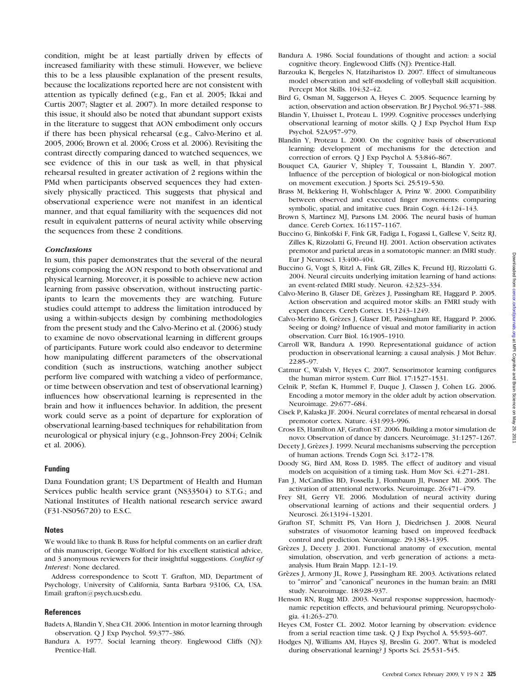condition, might be at least partially driven by effects of increased familiarity with these stimuli. However, we believe this to be a less plausible explanation of the present results, because the localizations reported here are not consistent with attention as typically defined (e.g., Fan et al. 2005; Ikkai and Curtis 2007; Slagter et al. 2007). In more detailed response to this issue, it should also be noted that abundant support exists in the literature to suggest that AON embodiment only occurs if there has been physical rehearsal (e.g., Calvo-Merino et al. 2005, 2006; Brown et al. 2006; Cross et al. 2006). Revisiting the contrast directly comparing danced to watched sequences, we see evidence of this in our task as well, in that physical rehearsal resulted in greater activation of 2 regions within the PMd when participants observed sequences they had extensively physically practiced. This suggests that physical and observational experience were not manifest in an identical manner, and that equal familiarity with the sequences did not result in equivalent patterns of neural activity while observing the sequences from these 2 conditions.

## Conclusions

In sum, this paper demonstrates that the several of the neural regions composing the AON respond to both observational and physical learning. Moreover, it is possible to achieve new action learning from passive observation, without instructing participants to learn the movements they are watching. Future studies could attempt to address the limitation introduced by using a within-subjects design by combining methodologies from the present study and the Calvo-Merino et al. (2006) study to examine de novo observational learning in different groups of participants. Future work could also endeavor to determine how manipulating different parameters of the observational condition (such as instructions, watching another subject perform live compared with watching a video of performance, or time between observation and test of observational learning) influences how observational learning is represented in the brain and how it influences behavior. In addition, the present work could serve as a point of departure for exploration of observational learning-based techniques for rehabilitation from neurological or physical injury (e.g., Johnson-Frey 2004; Celnik et al. 2006).

## Funding

Dana Foundation grant; US Department of Health and Human Services public health service grant (NS33504) to S.T.G.; and National Institutes of Health national research service award (F31-NS056720) to E.S.C.

## **Notes**

We would like to thank B. Russ for helpful comments on an earlier draft of this manuscript, George Wolford for his excellent statistical advice, and 3 anonymous reviewers for their insightful suggestions. Conflict of Interest: None declared.

Address correspondence to Scott T. Grafton, MD, Department of Psychology, University of California, Santa Barbara 93106, CA, USA. Email: grafton@psych.ucsb.edu.

## **References**

- Badets A, Blandin Y, Shea CH. 2006. Intention in motor learning through observation. Q J Exp Psychol. 59:377-386.
- Bandura A. 1977. Social learning theory. Englewood Cliffs (NJ): Prentice-Hall.
- Bandura A. 1986. Social foundations of thought and action: a social cognitive theory. Englewood Cliffs (NJ): Prentice-Hall.
- Barzouka K, Bergeles N, Hatziharistos D. 2007. Effect of simultaneous model observation and self-modeling of volleyball skill acquisition. Percept Mot Skills. 104:32-42.
- Bird G, Osman M, Saggerson A, Heyes C. 2005. Sequence learning by action, observation and action observation. Br J Psychol. 96:371-388.
- Blandin Y, Lhuisset L, Proteau L. 1999. Cognitive processes underlying observational learning of motor skills. Q J Exp Psychol Hum Exp Psychol. 52A:957-979.
- Blandin Y, Proteau L. 2000. On the cognitive basis of observational learning: development of mechanisms for the detection and correction of errors. Q J Exp Psychol A. 53:846-867.
- Bouquet CA, Gaurier V, Shipley T, Toussaint L, Blandin Y. 2007. Influence of the perception of biological or non-biological motion on movement execution. J Sports Sci. 25:519-530.
- Brass M, Bekkering H, Wohlschlager A, Prinz W. 2000. Compatibility between observed and executed finger movements: comparing symbolic, spatial, and imitative cues. Brain Cogn. 44:124-143.
- Brown S, Martinez MJ, Parsons LM. 2006. The neural basis of human dance. Cereb Cortex. 16:1157-1167.
- Buccino G, Binkofski F, Fink GR, Fadiga L, Fogassi L, Gallese V, Seitz RJ, Zilles K, Rizzolatti G, Freund HJ. 2001. Action observation activates premotor and parietal areas in a somatotopic manner: an fMRI study. Eur J Neurosci. 13:400-404.
- Buccino G, Vogt S, Ritzl A, Fink GR, Zilles K, Freund HJ, Rizzolatti G. 2004. Neural circuits underlying imitation learning of hand actions: an event-related fMRI study. Neuron. 42:323-334.
- Calvo-Merino B, Glaser DE, Grèzes J, Passingham RE, Haggard P. 2005. Action observation and acquired motor skills: an FMRI study with expert dancers. Cereb Cortex. 15:1243-1249.
- Calvo-Merino B, Grèzes J, Glaser DE, Passingham RE, Haggard P. 2006. Seeing or doing? Influence of visual and motor familiarity in action observation. Curr Biol. 16:1905--1910.
- Carroll WR, Bandura A. 1990. Representational guidance of action production in observational learning: a causal analysis. J Mot Behav. 22:85-97.
- Catmur C, Walsh V, Heyes C. 2007. Sensorimotor learning configures the human mirror system. Curr Biol. 17:1527--1531.
- Celnik P, Stefan K, Hummel F, Duque J, Classen J, Cohen LG. 2006. Encoding a motor memory in the older adult by action observation. Neuroimage. 29:677-684.
- Cisek P, Kalaska JF. 2004. Neural correlates of mental rehearsal in dorsal premotor cortex. Nature. 431:993-996.
- Cross ES, Hamilton AF, Grafton ST. 2006. Building a motor simulation de novo: Observation of dance by dancers. Neuroimage. 31:1257-1267.
- Decety J, Grèzes J. 1999. Neural mechanisms subserving the perception of human actions. Trends Cogn Sci. 3:172-178.
- Doody SG, Bird AM, Ross D. 1985. The effect of auditory and visual models on acquisition of a timing task. Hum Mov Sci. 4:271-281.
- Fan J, McCandliss BD, Fossella J, Flombaum JI, Posner MI. 2005. The activation of attentional networks. Neuroimage. 26:471-479.
- Frey SH, Gerry VE. 2006. Modulation of neural activity during observational learning of actions and their sequential orders. J Neurosci. 26:13194-13201.
- Grafton ST, Schmitt PS, Van Horn J, Diedrichsen J. 2008. Neural substrates of visuomotor learning based on improved feedback control and prediction. Neuroimage. 29:1383-1395.
- Grèzes J, Decety J. 2001. Functional anatomy of execution, mental simulation, observation, and verb generation of actions: a metaanalysis. Hum Brain Mapp. 12:1-19.
- Grèzes J, Armony JL, Rowe J, Passingham RE. 2003. Activations related to "mirror" and "canonical" neurones in the human brain: an fMRI study. Neuroimage. 18:928-937.
- Henson RN, Rugg MD. 2003. Neural response suppression, haemodynamic repetition effects, and behavioural priming. Neuropsychologia. 41:263-270.
- Heyes CM, Foster CL. 2002. Motor learning by observation: evidence from a serial reaction time task. Q J Exp Psychol A. 55:593-607.
- Hodges NJ, Williams AM, Hayes SJ, Breslin G. 2007. What is modeled during observational learning? J Sports Sci. 25:531-545.